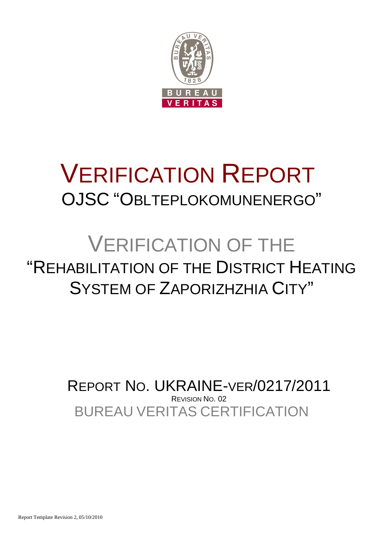

# VERIFICATION REPORT OJSC "OBLTEPLOKOMUNENERGO"

## VERIFICATION OF THE "REHABILITATION OF THE DISTRICT HEATING SYSTEM OF ZAPORIZHZHIA CITY"

BUREAU VERITAS CERTIFICATION REPORT NO. UKRAINE-VER/0217/2011 REVISION NO. 02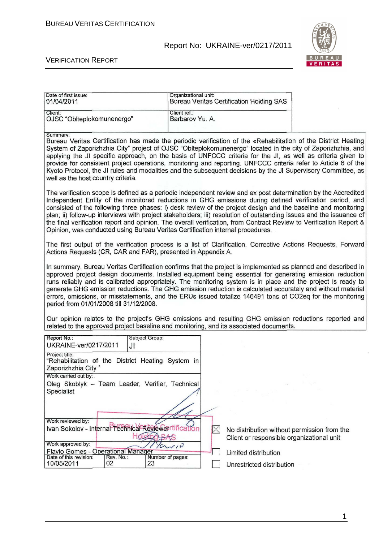

#### VERIFICATION REPORT

| Date of first issue:<br>01/04/2011                                                                                                                                                                                                                                                                                                                                                                                                                                                                                                                                                                                                                                        | Organizational unit:            | <b>Bureau Veritas Certification Holding SAS</b>                                          |  |  |  |  |
|---------------------------------------------------------------------------------------------------------------------------------------------------------------------------------------------------------------------------------------------------------------------------------------------------------------------------------------------------------------------------------------------------------------------------------------------------------------------------------------------------------------------------------------------------------------------------------------------------------------------------------------------------------------------------|---------------------------------|------------------------------------------------------------------------------------------|--|--|--|--|
| Client:<br>OJSC "Oblteplokomunenergo"                                                                                                                                                                                                                                                                                                                                                                                                                                                                                                                                                                                                                                     | Client ref.:<br>Barbarov Yu. A. |                                                                                          |  |  |  |  |
| Summary:<br>Bureau Veritas Certification has made the periodic verification of the «Rehabilitation of the District Heating<br>System of Zaporizhzhia City" project of OJSC "Oblteplokomunenergo" located in the city of Zaporizhzhia, and<br>applying the JI specific approach, on the basis of UNFCCC criteria for the JI, as well as criteria given to<br>provide for consistent project operations, monitoring and reporting. UNFCCC criteria refer to Article 6 of the<br>Kyoto Protocol, the JI rules and modalities and the subsequent decisions by the JI Supervisory Committee, as<br>well as the host country criteria.                                          |                                 |                                                                                          |  |  |  |  |
| The verification scope is defined as a periodic independent review and ex post determination by the Accredited<br>Independent Entity of the monitored reductions in GHG emissions during defined verification period, and<br>consisted of the following three phases: i) desk review of the project design and the baseline and monitoring<br>plan; ii) follow-up interviews with project stakeholders; iii) resolution of outstanding issues and the issuance of<br>the final verification report and opinion. The overall verification, from Contract Review to Verification Report &<br>Opinion, was conducted using Bureau Veritas Certification internal procedures. |                                 |                                                                                          |  |  |  |  |
| The first output of the verification process is a list of Clarification, Corrective Actions Requests, Forward<br>Actions Requests (CR, CAR and FAR), presented in Appendix A.                                                                                                                                                                                                                                                                                                                                                                                                                                                                                             |                                 |                                                                                          |  |  |  |  |
| In summary, Bureau Veritas Certification confirms that the project is implemented as planned and described in<br>approved project design documents. Installed equipment being essential for generating emission reduction<br>runs reliably and is calibrated appropriately. The monitoring system is in place and the project is ready to<br>generate GHG emission reductions. The GHG emission reduction is calculated accurately and without material<br>errors, omissions, or misstatements, and the ERUs issued totalize 146491 tons of CO2eq for the monitoring<br>period from 01/01/2008 till 31/12/2008.                                                           |                                 |                                                                                          |  |  |  |  |
| Our opinion relates to the project's GHG emissions and resulting GHG emission reductions reported and<br>related to the approved project baseline and monitoring, and its associated documents.                                                                                                                                                                                                                                                                                                                                                                                                                                                                           |                                 |                                                                                          |  |  |  |  |
| Report No.:<br>Subject Group:<br>UKRAINE-ver/0217/2011<br>JI                                                                                                                                                                                                                                                                                                                                                                                                                                                                                                                                                                                                              |                                 |                                                                                          |  |  |  |  |
| Project title:<br>"Rehabilitation of the District Heating System in<br>Zaporizhzhia City"                                                                                                                                                                                                                                                                                                                                                                                                                                                                                                                                                                                 |                                 |                                                                                          |  |  |  |  |
| Work carried out by:<br>Oleg Skoblyk - Team Leader, Verifier, Technical<br>Specialist                                                                                                                                                                                                                                                                                                                                                                                                                                                                                                                                                                                     |                                 |                                                                                          |  |  |  |  |
| Work reviewed by:<br>Ivan Sokolov - Internal Technical Revewentification<br>Work approved by:<br>Flavio Gomes - Operational Manager                                                                                                                                                                                                                                                                                                                                                                                                                                                                                                                                       | $\overline{v}$                  | No distribution without permission from the<br>Client or responsible organizational unit |  |  |  |  |
| Date of this revision:<br>Rev. No.:<br>10/05/2011<br>02<br>23                                                                                                                                                                                                                                                                                                                                                                                                                                                                                                                                                                                                             | Number of pages:                | Limited distribution<br>Unrestricted distribution                                        |  |  |  |  |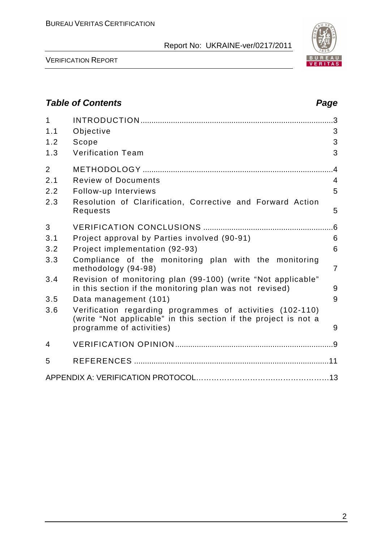

VERIFICATION REPORT

## **Table of Contents Page 2016** 1 INTRODUCTION .........................................................................................3 1.1 Objective 3 1.2 Scope 3 1.3 Verification Team 3 2 METHODOLOGY ........................................................................................4 2.1 Review of Documents 4 2.2 Follow-up Interviews 5 2.3 Resolution of Clarification, Corrective and Forward Action Requests 5 3 VERIFICATION CONCLUSIONS ............................................................6 3.1 Project approval by Parties involved (90-91) 6 3.2 Project implementation (92-93) 6 3.3 Compliance of the monitoring plan with the monitoring methodology (94-98) 7 3.4 Revision of monitoring plan (99-100) (write "Not applicable" in this section if the monitoring plan was not revised) 9 3.5 Data management (101) 9 3.6 Verification regarding programmes of activities (102-110) (write "Not applicable" in this section if the project is not a programme of activities) and the state of  $\sim$  9 4 VERIFICATION OPINION .........................................................................9 5 REFERENCES ..........................................................................................11 APPENDIX A: VERIFICATION PROTOCOL………………………….…………………13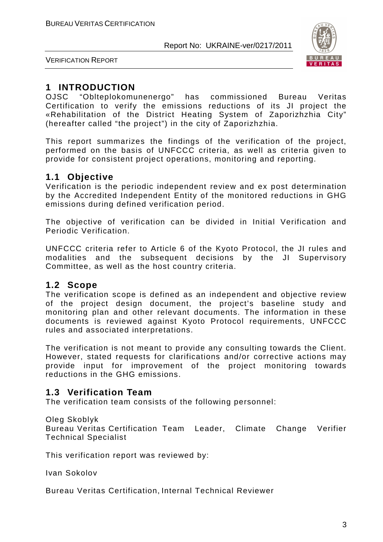

VERIFICATION REPORT

## **1 INTRODUCTION**

OJSC "Oblteplokomunenergo" has commissioned Bureau Veritas Certification to verify the emissions reductions of its JI project the «Rehabilitation of the District Heating System of Zaporizhzhia City" (hereafter called "the project") in the city of Zaporizhzhia.

This report summarizes the findings of the verification of the project, performed on the basis of UNFCCC criteria, as well as criteria given to provide for consistent project operations, monitoring and reporting.

## **1.1 Objective**

Verification is the periodic independent review and ex post determination by the Accredited Independent Entity of the monitored reductions in GHG emissions during defined verification period.

The objective of verification can be divided in Initial Verification and Periodic Verification.

UNFCCC criteria refer to Article 6 of the Kyoto Protocol, the JI rules and modalities and the subsequent decisions by the JI Supervisory Committee, as well as the host country criteria.

#### **1.2 Scope**

The verification scope is defined as an independent and objective review of the project design document, the project's baseline study and monitoring plan and other relevant documents. The information in these documents is reviewed against Kyoto Protocol requirements, UNFCCC rules and associated interpretations.

The verification is not meant to provide any consulting towards the Client. However, stated requests for clarifications and/or corrective actions may provide input for improvement of the project monitoring towards reductions in the GHG emissions.

## **1.3 Verification Team**

The verification team consists of the following personnel:

#### Oleg Skoblyk

Bureau Veritas Certification Team Leader, Climate Change Verifier Technical Specialist

This verification report was reviewed by:

Ivan Sokolov

Bureau Veritas Certification, Internal Technical Reviewer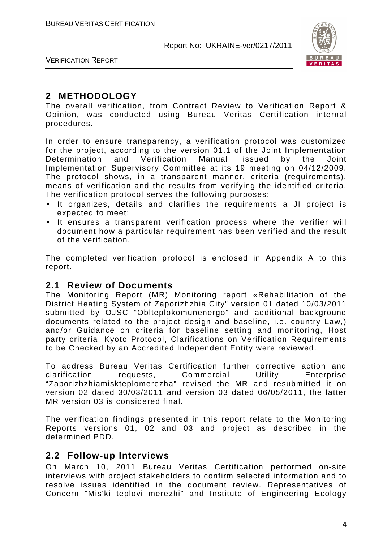

VERIFICATION REPORT

## **2 METHODOLOGY**

The overall verification, from Contract Review to Verification Report & Opinion, was conducted using Bureau Veritas Certification internal procedures.

In order to ensure transparency, a verification protocol was customized for the project, according to the version 01.1 of the Joint Implementation Determination and Verification Manual, issued by the Joint Implementation Supervisory Committee at its 19 meeting on 04/12/2009. The protocol shows, in a transparent manner, criteria (requirements), means of verification and the results from verifying the identified criteria. The verification protocol serves the following purposes:

- It organizes, details and clarifies the requirements a JI project is expected to meet;
- It ensures a transparent verification process where the verifier will document how a particular requirement has been verified and the result of the verification.

The completed verification protocol is enclosed in Appendix A to this report.

#### **2.1 Review of Documents**

The Monitoring Report (MR) Monitoring report «Rehabilitation of the District Heating System of Zaporizhzhia City" version 01 dated 10/03/2011 submitted by OJSC "Oblteplokomunenergo" and additional background documents related to the project design and baseline, i.e. country Law,) and/or Guidance on criteria for baseline setting and monitoring, Host party criteria, Kyoto Protocol, Clarifications on Verification Requirements to be Checked by an Accredited Independent Entity were reviewed.

To address Bureau Veritas Certification further corrective action and clarification requests, Commercial Utility Enterprise "Zaporizhzhiamiskteplomerezha" revised the MR and resubmitted it on version 02 dated 30/03/2011 and version 03 dated 06/05/2011, the latter MR version 03 is considered final.

The verification findings presented in this report relate to the Monitoring Reports versions 01, 02 and 03 and project as described in the determined PDD.

#### **2.2 Follow-up Interviews**

On March 10, 2011 Bureau Veritas Certification performed on-site interviews with project stakeholders to confirm selected information and to resolve issues identified in the document review. Representatives of Concern "Mis'ki teplovi merezhi" and Institute of Engineering Ecology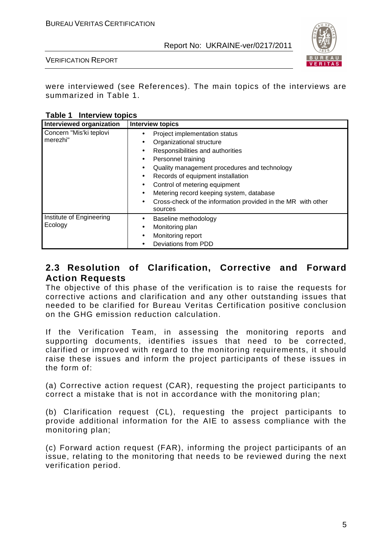

VERIFICATION REPORT

were interviewed (see References). The main topics of the interviews are summarized in Table 1.

**Table 1 Interview topics** 

| Interviewed organization            | <b>Interview topics</b>                                                                                                                                                                                                                                                                                                                                                                                                                                                       |
|-------------------------------------|-------------------------------------------------------------------------------------------------------------------------------------------------------------------------------------------------------------------------------------------------------------------------------------------------------------------------------------------------------------------------------------------------------------------------------------------------------------------------------|
| Concern "Mis'ki teplovi<br>merezhi" | Project implementation status<br>$\bullet$<br>Organizational structure<br>$\bullet$<br>Responsibilities and authorities<br>$\bullet$<br>Personnel training<br>$\bullet$<br>Quality management procedures and technology<br>٠<br>Records of equipment installation<br>$\bullet$<br>Control of metering equipment<br>$\bullet$<br>Metering record keeping system, database<br>$\bullet$<br>Cross-check of the information provided in the MR with other<br>$\bullet$<br>sources |
| Institute of Engineering<br>Ecology | Baseline methodology<br>$\bullet$<br>Monitoring plan<br>$\bullet$<br>Monitoring report<br>$\bullet$<br>Deviations from PDD                                                                                                                                                                                                                                                                                                                                                    |

### **2.3 Resolution of Clarification, Corrective and Forward Action Requests**

The objective of this phase of the verification is to raise the requests for corrective actions and clarification and any other outstanding issues that needed to be clarified for Bureau Veritas Certification positive conclusion on the GHG emission reduction calculation.

If the Verification Team, in assessing the monitoring reports and supporting documents, identifies issues that need to be corrected, clarified or improved with regard to the monitoring requirements, it should raise these issues and inform the project participants of these issues in the form of:

(a) Corrective action request (CAR), requesting the project participants to correct a mistake that is not in accordance with the monitoring plan;

(b) Clarification request (CL), requesting the project participants to provide additional information for the AIE to assess compliance with the monitoring plan;

(c) Forward action request (FAR), informing the project participants of an issue, relating to the monitoring that needs to be reviewed during the next verification period.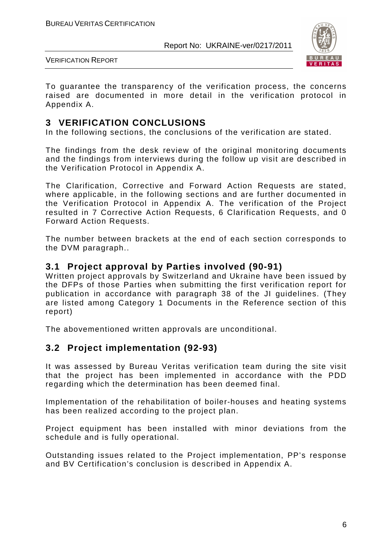

VERIFICATION REPORT

To guarantee the transparency of the verification process, the concerns raised are documented in more detail in the verification protocol in Appendix A.

## **3 VERIFICATION CONCLUSIONS**

In the following sections, the conclusions of the verification are stated.

The findings from the desk review of the original monitoring documents and the findings from interviews during the follow up visit are described in the Verification Protocol in Appendix A.

The Clarification, Corrective and Forward Action Requests are stated, where applicable, in the following sections and are further documented in the Verification Protocol in Appendix A. The verification of the Project resulted in 7 Corrective Action Requests, 6 Clarification Requests, and 0 Forward Action Requests.

The number between brackets at the end of each section corresponds to the DVM paragraph..

#### **3.1 Project approval by Parties involved (90-91)**

Written project approvals by Switzerland and Ukraine have been issued by the DFPs of those Parties when submitting the first verification report for publication in accordance with paragraph 38 of the JI guidelines. (They are listed among Category 1 Documents in the Reference section of this report)

The abovementioned written approvals are unconditional.

## **3.2 Project implementation (92-93)**

It was assessed by Bureau Veritas verification team during the site visit that the project has been implemented in accordance with the PDD regarding which the determination has been deemed final.

Implementation of the rehabilitation of boiler-houses and heating systems has been realized according to the project plan.

Project equipment has been installed with minor deviations from the schedule and is fully operational.

Outstanding issues related to the Project implementation, PP's response and BV Certification's conclusion is described in Appendix A.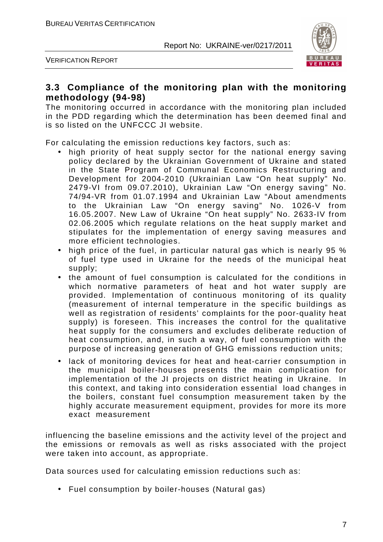

VERIFICATION REPORT

### **3.3 Compliance of the monitoring plan with the monitoring methodology (94-98)**

The monitoring occurred in accordance with the monitoring plan included in the PDD regarding which the determination has been deemed final and is so listed on the UNFCCC JI website.

For calculating the emission reductions key factors, such as:

- high priority of heat supply sector for the national energy saving policy declared by the Ukrainian Government of Ukraine and stated in the State Program of Communal Economics Restructuring and Development for 2004-2010 (Ukrainian Law "On heat supply" No. 2479-VI from 09.07.2010), Ukrainian Law "On energy saving" No. 74/94-VR from 01.07.1994 and Ukrainian Law "About amendments to the Ukrainian Law "On energy saving" No. 1026-V from 16.05.2007. New Law of Ukraine "On heat supply" No. 2633-IV from 02.06.2005 which regulate relations on the heat supply market and stipulates for the implementation of energy saving measures and more efficient technologies.
- high price of the fuel, in particular natural gas which is nearly 95 % of fuel type used in Ukraine for the needs of the municipal heat supply;
- the amount of fuel consumption is calculated for the conditions in which normative parameters of heat and hot water supply are provided. Implementation of continuous monitoring of its quality (measurement of internal temperature in the specific buildings as well as registration of residents' complaints for the poor-quality heat supply) is foreseen. This increases the control for the qualitative heat supply for the consumers and excludes deliberate reduction of heat consumption, and, in such a way, of fuel consumption with the purpose of increasing generation of GHG emissions reduction units;
- lack of monitoring devices for heat and heat-carrier consumption in the municipal boiler-houses presents the main complication for implementation of the JI projects on district heating in Ukraine. In this context, and taking into consideration essential load changes in the boilers, constant fuel consumption measurement taken by the highly accurate measurement equipment, provides for more its more exact measurement

influencing the baseline emissions and the activity level of the project and the emissions or removals as well as risks associated with the project were taken into account, as appropriate.

Data sources used for calculating emission reductions such as:

• Fuel consumption by boiler-houses (Natural gas)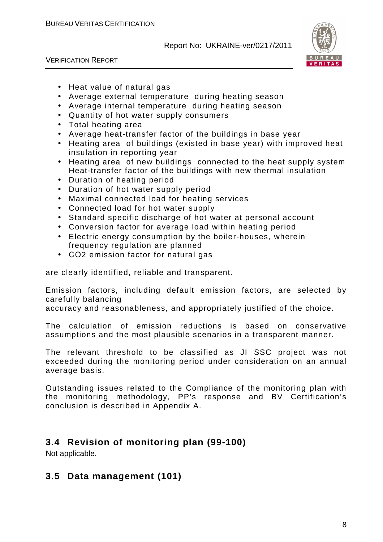



- Heat value of natural gas
- Average external temperature during heating season
- Average internal temperature during heating season
- Quantity of hot water supply consumers
- Total heating area
- Average heat-transfer factor of the buildings in base year
- Heating area of buildings (existed in base year) with improved heat insulation in reporting year
- Heating area of new buildings connected to the heat supply system Heat-transfer factor of the buildings with new thermal insulation
- Duration of heating period
- Duration of hot water supply period
- Maximal connected load for heating services
- Connected load for hot water supply
- Standard specific discharge of hot water at personal account
- Conversion factor for average load within heating period
- Electric energy consumption by the boiler-houses, wherein frequency regulation are planned
- СО2 emission factor for natural gas

are clearly identified, reliable and transparent.

Emission factors, including default emission factors, are selected by carefully balancing

accuracy and reasonableness, and appropriately justified of the choice.

The calculation of emission reductions is based on conservative assumptions and the most plausible scenarios in a transparent manner.

The relevant threshold to be classified as JI SSC project was not exceeded during the monitoring period under consideration on an annual average basis.

Outstanding issues related to the Compliance of the monitoring plan with the monitoring methodology, PP's response and BV Certification's conclusion is described in Appendix A.

## **3.4 Revision of monitoring plan (99-100)**

Not applicable.

## **3.5 Data management (101)**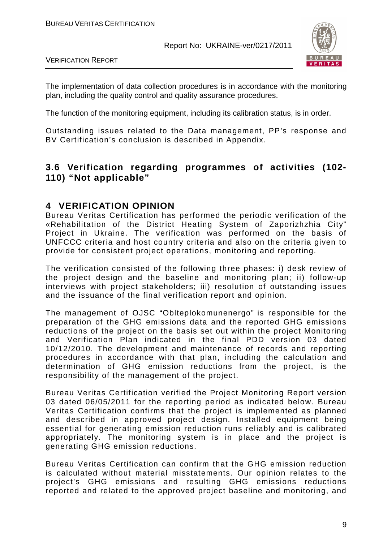

VERIFICATION REPORT

The implementation of data collection procedures is in accordance with the monitoring plan, including the quality control and quality assurance procedures.

The function of the monitoring equipment, including its calibration status, is in order.

Outstanding issues related to the Data management, PP's response and BV Certification's conclusion is described in Appendix.

### **3.6 Verification regarding programmes of activities (102- 110) "Not applicable"**

#### **4 VERIFICATION OPINION**

Bureau Veritas Certification has performed the periodic verification of the «Rehabilitation of the District Heating System of Zaporizhzhia City" Project in Ukraine. The verification was performed on the basis of UNFCCC criteria and host country criteria and also on the criteria given to provide for consistent project operations, monitoring and reporting.

The verification consisted of the following three phases: i) desk review of the project design and the baseline and monitoring plan; ii) follow-up interviews with project stakeholders; iii) resolution of outstanding issues and the issuance of the final verification report and opinion.

The management of OJSC "Oblteplokomunenergo" is responsible for the preparation of the GHG emissions data and the reported GHG emissions reductions of the project on the basis set out within the project Monitoring and Verification Plan indicated in the final PDD version 03 dated 10/12/2010. The development and maintenance of records and reporting procedures in accordance with that plan, including the calculation and determination of GHG emission reductions from the project, is the responsibility of the management of the project.

Bureau Veritas Certification verified the Project Monitoring Report version 03 dated 06/05/2011 for the reporting period as indicated below. Bureau Veritas Certification confirms that the project is implemented as planned and described in approved project design. Installed equipment being essential for generating emission reduction runs reliably and is calibrated appropriately. The monitoring system is in place and the project is generating GHG emission reductions.

Bureau Veritas Certification can confirm that the GHG emission reduction is calculated without material misstatements. Our opinion relates to the project's GHG emissions and resulting GHG emissions reductions reported and related to the approved project baseline and monitoring, and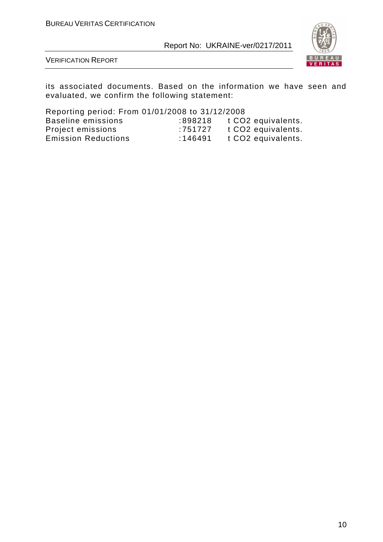

VERIFICATION REPORT

its associated documents. Based on the information we have seen and evaluated, we confirm the following statement:

Reporting period: From 01/01/2008 to 31/12/2008 Baseline t CO2 equivalents. Project emissions : 751727 t CO2 equivalents. Emission Reductions : 146491 t CO2 equivalents.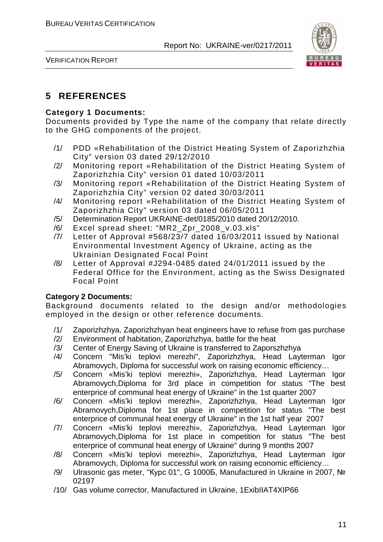

VERIFICATION REPORT

## **5 REFERENCES**

#### **Category 1 Documents:**

Documents provided by Type the name of the company that relate directly to the GHG components of the project.

- /1/ PDD «Rehabilitation of the District Heating System of Zaporizhzhia City" version 03 dated 29/12/2010
- /2/ Monitoring report «Rehabilitation of the District Heating System of Zaporizhzhia City" version 01 dated 10/03/2011
- /3/ Monitoring report «Rehabilitation of the District Heating System of Zaporizhzhia City" version 02 dated 30/03/2011
- /4/ Monitoring report «Rehabilitation of the District Heating System of Zaporizhzhia City" version 03 dated 06/05/2011
- /5/ Determination Report UKRAINE-det/0185/2010 dated 20/12/2010.
- /6/ Excel spread sheet: "MR2\_Zpr\_2008\_v.03.xls"
- /7/ Letter of Approval #568/23/7 dated 16/03/2011 issued by National Environmental Investment Agency of Ukraine, acting as the Ukrainian Designated Focal Point
- /8/ Letter of Approval #J294-0485 dated 24/01/2011 issued by the Federal Office for the Environment, acting as the Swiss Designated Focal Point

#### **Category 2 Documents:**

Background documents related to the design and/or methodologies employed in the design or other reference documents.

- /1/ Zaporizhzhya, Zaporizhzhyan heat engineers have to refuse from gas purchase
- /2/ Environment of habitation, Zaporizhzhya, battle for the heat
- /3/ Center of Energy Saving of Ukraine is transferred to Zaporszhzhya
- /4/ Concern "Mis'ki teplovi merezhi", Zaporizhzhya, Head Layterman Igor Abramovych, Diploma for successful work on raising economic efficiency…
- /5/ Concern «Mis'ki teplovi merezhi», Zaporizhzhya, Head Layterman Igor Abramovych,Diploma for 3rd place in competition for status "The best enterprice of communal heat energy of Ukraine" in the 1st quarter 2007
- /6/ Concern «Mis'ki teplovi merezhi», Zaporizhzhya, Head Layterman Igor Abramovych,Diploma for 1st place in competition for status "The best enterprice of communal heat energy of Ukraine" in the 1st half year 2007
- /7/ Concern «Mis'ki teplovi merezhi», Zaporizhzhya, Head Layterman Igor Abramovych,Diploma for 1st place in competition for status "The best enterprice of communal heat energy of Ukraine" during 9 months 2007
- /8/ Concern «Mis'ki teplovi merezhi», Zaporizhzhya, Head Layterman Igor Abramovych, Diploma for successful work on raising economic efficiency…
- /9/ Ulrasonic gas meter, "Курс 01", G 1000Б, Manufactured in Ukraine in 2007, № 02197
- /10/ Gas volume corrector, Manufactured in Ukraine, 1ExibIIAT4XIP66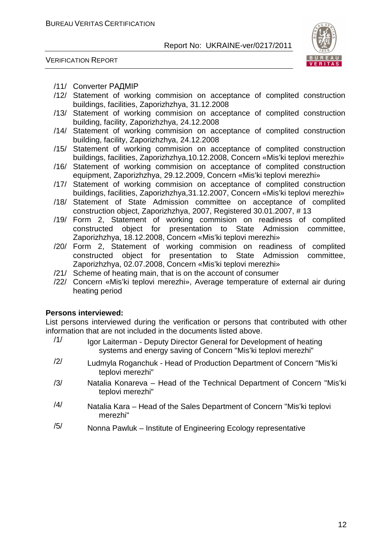

VERIFICATION REPORT

- /11/ Converter РАДМІР
- /12/ Statement of working commision on acceptance of complited construction buildings, facilities, Zaporizhzhya, 31.12.2008
- /13/ Statement of working commision on acceptance of complited construction building, facility, Zaporizhzhya, 24.12.2008
- /14/ Statement of working commision on acceptance of complited construction building, facility, Zaporizhzhya, 24.12.2008
- /15/ Statement of working commision on acceptance of complited construction buildings, facilities, Zaporizhzhya,10.12.2008, Concern «Mis'ki teplovi merezhi»
- /16/ Statement of working commision on acceptance of complited construction equipment, Zaporizhzhya, 29.12.2009, Concern «Mis'ki teplovi merezhi»
- /17/ Statement of working commision on acceptance of complited construction buildings, facilities, Zaporizhzhya,31.12.2007, Concern «Mis'ki teplovi merezhi»
- /18/ Statement of State Admission committee on acceptance of complited construction object, Zaporizhzhya, 2007, Registered 30.01.2007, # 13
- /19/ Form 2, Statement of working commision on readiness of complited constructed object for presentation to State Admission committee, Zaporizhzhya, 18.12.2008, Concern «Mis'ki teplovi merezhi»
- /20/ Form 2, Statement of working commision on readiness of complited constructed object for presentation to State Admission committee, Zaporizhzhya, 02.07.2008, Concern «Mis'ki teplovi merezhi»
- /21/ Scheme of heating main, that is on the account of consumer
- /22/ Concern «Mis'ki teplovi merezhi», Average temperature of external air during heating period

#### **Persons interviewed:**

List persons interviewed during the verification or persons that contributed with other information that are not included in the documents listed above.

- $/1/$  Igor Laiterman Deputy Director General for Development of heating systems and energy saving of Concern "Mis'ki teplovi merezhi"
- /2/ Ludmyla Roganchuk Head of Production Department of Concern "Mis'ki teplovi merezhi"
- /3/ Natalia Konareva Head of the Technical Department of Concern "Mis'ki teplovi merezhi"
- $/4/$  Natalia Kara Head of the Sales Department of Concern "Mis'ki teplovi merezhi"
- $/5/$  Nonna Pawluk Institute of Engineering Ecology representative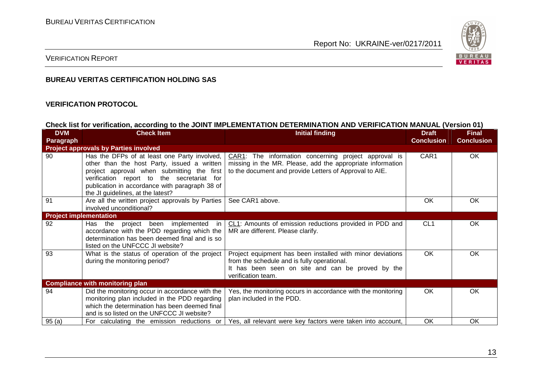

#### VERIFICATION REPORT

#### **BUREAU VERITAS CERTIFICATION HOLDING SAS**

#### **VERIFICATION PROTOCOL**

#### **Check list for verification, according to the JOINT IMPLEMENTATION DETERMINATION AND VERIFICATION MANUAL (Version 01)**

| <b>DVM</b>                    | <b>Check Item</b>                                                                                                                                                                                                                                                              | <b>Initial finding</b>                                                                                                                                                               | <b>Draft</b>      | <b>Final</b>      |
|-------------------------------|--------------------------------------------------------------------------------------------------------------------------------------------------------------------------------------------------------------------------------------------------------------------------------|--------------------------------------------------------------------------------------------------------------------------------------------------------------------------------------|-------------------|-------------------|
| Paragraph                     |                                                                                                                                                                                                                                                                                |                                                                                                                                                                                      | <b>Conclusion</b> | <b>Conclusion</b> |
|                               | <b>Project approvals by Parties involved</b>                                                                                                                                                                                                                                   |                                                                                                                                                                                      |                   |                   |
| 90                            | Has the DFPs of at least one Party involved,<br>other than the host Party, issued a written<br>project approval when submitting the first<br>verification report to the secretariat for<br>publication in accordance with paragraph 38 of<br>the JI guidelines, at the latest? | CAR1: The information concerning project approval is<br>missing in the MR. Please, add the appropriate information<br>to the document and provide Letters of Approval to AIE.        | CAR <sub>1</sub>  | <b>OK</b>         |
| 91                            | Are all the written project approvals by Parties<br>involved unconditional?                                                                                                                                                                                                    | See CAR1 above.                                                                                                                                                                      | <b>OK</b>         | <b>OK</b>         |
| <b>Project implementation</b> |                                                                                                                                                                                                                                                                                |                                                                                                                                                                                      |                   |                   |
| 92                            | project been implemented in<br>Has the<br>accordance with the PDD regarding which the<br>determination has been deemed final and is so<br>listed on the UNFCCC JI website?                                                                                                     | CL1: Amounts of emission reductions provided in PDD and<br>MR are different. Please clarify.                                                                                         | CL <sub>1</sub>   | OK                |
| 93                            | What is the status of operation of the project<br>during the monitoring period?                                                                                                                                                                                                | Project equipment has been installed with minor deviations<br>from the schedule and is fully operational.<br>It has been seen on site and can be proved by the<br>verification team. | <b>OK</b>         | OK                |
|                               | <b>Compliance with monitoring plan</b>                                                                                                                                                                                                                                         |                                                                                                                                                                                      |                   |                   |
| 94                            | Did the monitoring occur in accordance with the<br>monitoring plan included in the PDD regarding<br>which the determination has been deemed final<br>and is so listed on the UNFCCC JI website?                                                                                | Yes, the monitoring occurs in accordance with the monitoring<br>plan included in the PDD.                                                                                            | <b>OK</b>         | OK.               |
| 95(a)                         | For calculating the emission reductions or                                                                                                                                                                                                                                     | Yes, all relevant were key factors were taken into account,                                                                                                                          | OK                | OK                |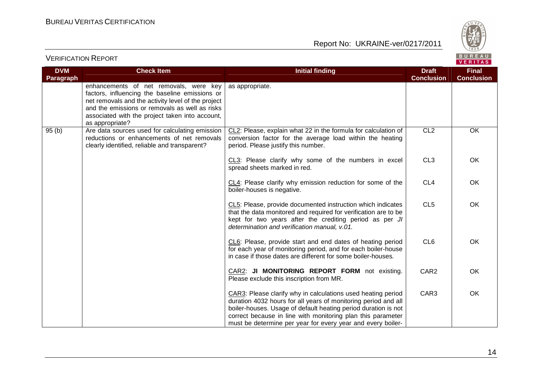

| <b>DVM</b>       | <b>Check Item</b>                                                                                                                                                                                                                                                      | <b>Initial finding</b>                                                                                                                                                                                                                                                                                                         | <b>Draft</b>      | <b>Final</b>      |
|------------------|------------------------------------------------------------------------------------------------------------------------------------------------------------------------------------------------------------------------------------------------------------------------|--------------------------------------------------------------------------------------------------------------------------------------------------------------------------------------------------------------------------------------------------------------------------------------------------------------------------------|-------------------|-------------------|
| <b>Paragraph</b> |                                                                                                                                                                                                                                                                        |                                                                                                                                                                                                                                                                                                                                | <b>Conclusion</b> | <b>Conclusion</b> |
|                  | enhancements of net removals, were key<br>factors, influencing the baseline emissions or<br>net removals and the activity level of the project<br>and the emissions or removals as well as risks<br>associated with the project taken into account,<br>as appropriate? | as appropriate.                                                                                                                                                                                                                                                                                                                |                   |                   |
| 95(b)            | Are data sources used for calculating emission<br>reductions or enhancements of net removals<br>clearly identified, reliable and transparent?                                                                                                                          | CL2: Please, explain what 22 in the formula for calculation of<br>conversion factor for the average load within the heating<br>period. Please justify this number.                                                                                                                                                             | CL <sub>2</sub>   | OK                |
|                  |                                                                                                                                                                                                                                                                        | CL3: Please clarify why some of the numbers in excel<br>spread sheets marked in red.                                                                                                                                                                                                                                           | CL <sub>3</sub>   | OK                |
|                  |                                                                                                                                                                                                                                                                        | CL4: Please clarify why emission reduction for some of the<br>boiler-houses is negative.                                                                                                                                                                                                                                       | CL <sub>4</sub>   | OK                |
|                  |                                                                                                                                                                                                                                                                        | CL5: Please, provide documented instruction which indicates<br>that the data monitored and required for verification are to be<br>kept for two years after the crediting period as per JI<br>determination and verification manual, v.01.                                                                                      | CL <sub>5</sub>   | OK                |
|                  |                                                                                                                                                                                                                                                                        | CL6: Please, provide start and end dates of heating period<br>for each year of monitoring period, and for each boiler-house<br>in case if those dates are different for some boiler-houses.                                                                                                                                    | CL <sub>6</sub>   | OK                |
|                  |                                                                                                                                                                                                                                                                        | CAR2: JI MONITORING REPORT FORM not existing.<br>Please exclude this inscription from MR.                                                                                                                                                                                                                                      | CAR <sub>2</sub>  | OK                |
|                  |                                                                                                                                                                                                                                                                        | CAR3: Please clarify why in calculations used heating period<br>duration 4032 hours for all years of monitoring period and all<br>boiler-houses. Usage of default heating period duration is not<br>correct because in line with monitoring plan this parameter<br>must be determine per year for every year and every boiler- | CAR3              | OK                |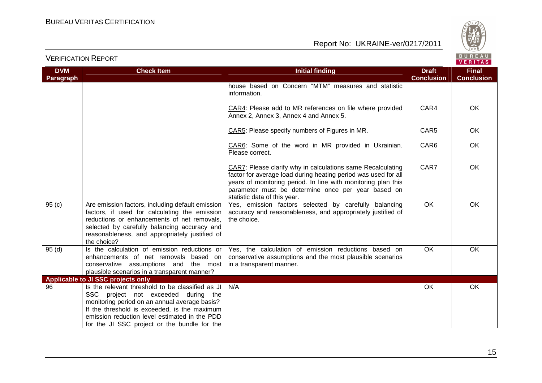

| <b>DVM</b><br><b>Paragraph</b> | <b>Check Item</b>                                                                                                                                                                                                                                                                         | <b>Initial finding</b>                                                                                                                                                                                                                                                               | <b>Draft</b><br><b>Conclusion</b> | <b>Final</b><br><b>Conclusion</b> |
|--------------------------------|-------------------------------------------------------------------------------------------------------------------------------------------------------------------------------------------------------------------------------------------------------------------------------------------|--------------------------------------------------------------------------------------------------------------------------------------------------------------------------------------------------------------------------------------------------------------------------------------|-----------------------------------|-----------------------------------|
|                                |                                                                                                                                                                                                                                                                                           | house based on Concern "MTM" measures and statistic<br>information.                                                                                                                                                                                                                  |                                   |                                   |
|                                |                                                                                                                                                                                                                                                                                           | CAR4: Please add to MR references on file where provided<br>Annex 2, Annex 3, Annex 4 and Annex 5.                                                                                                                                                                                   | CAR4                              | OK.                               |
|                                |                                                                                                                                                                                                                                                                                           | CAR5: Please specify numbers of Figures in MR.                                                                                                                                                                                                                                       | CAR <sub>5</sub>                  | OK.                               |
|                                |                                                                                                                                                                                                                                                                                           | CAR6: Some of the word in MR provided in Ukrainian.<br>Please correct.                                                                                                                                                                                                               | CAR6                              | OK                                |
|                                |                                                                                                                                                                                                                                                                                           | CAR7: Please clarify why in calculations same Recalculating<br>factor for average load during heating period was used for all<br>years of monitoring period. In line with monitoring plan this<br>parameter must be determine once per year based on<br>statistic data of this year. | CAR7                              | OK.                               |
| 95(c)                          | Are emission factors, including default emission<br>factors, if used for calculating the emission<br>reductions or enhancements of net removals,<br>selected by carefully balancing accuracy and<br>reasonableness, and appropriately justified of<br>the choice?                         | Yes, emission factors selected by carefully balancing<br>accuracy and reasonableness, and appropriately justified of<br>the choice.                                                                                                                                                  | <b>OK</b>                         | OK                                |
| 95(d)                          | Is the calculation of emission reductions or<br>enhancements of net removals based on<br>conservative assumptions and the most<br>plausible scenarios in a transparent manner?                                                                                                            | Yes, the calculation of emission reductions based on<br>conservative assumptions and the most plausible scenarios<br>in a transparent manner.                                                                                                                                        | OK                                | OK                                |
|                                | Applicable to JI SSC projects only                                                                                                                                                                                                                                                        |                                                                                                                                                                                                                                                                                      |                                   |                                   |
| 96                             | Is the relevant threshold to be classified as JI<br>SSC project not exceeded during the<br>monitoring period on an annual average basis?<br>If the threshold is exceeded, is the maximum<br>emission reduction level estimated in the PDD<br>for the JI SSC project or the bundle for the | N/A                                                                                                                                                                                                                                                                                  | OK                                | OK                                |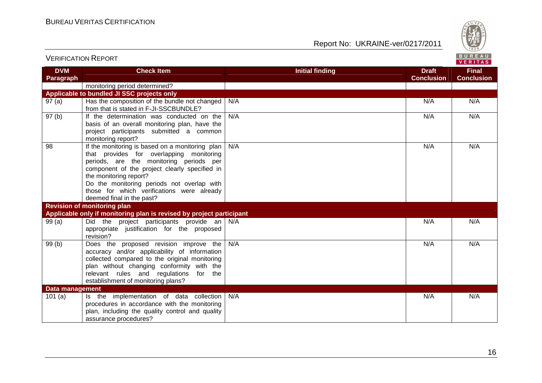

| <b>DVM</b>             | <b>Check Item</b>                                                                                                                                                                                                                                                                                                                          | <b>Initial finding</b> | <b>Draft</b>      | <b>Final</b>      |
|------------------------|--------------------------------------------------------------------------------------------------------------------------------------------------------------------------------------------------------------------------------------------------------------------------------------------------------------------------------------------|------------------------|-------------------|-------------------|
| <b>Paragraph</b>       |                                                                                                                                                                                                                                                                                                                                            |                        | <b>Conclusion</b> | <b>Conclusion</b> |
|                        | monitoring period determined?                                                                                                                                                                                                                                                                                                              |                        |                   |                   |
|                        | Applicable to bundled JI SSC projects only                                                                                                                                                                                                                                                                                                 |                        |                   |                   |
| 97(a)                  | Has the composition of the bundle not changed<br>from that is stated in F-JI-SSCBUNDLE?                                                                                                                                                                                                                                                    | N/A                    | N/A               | N/A               |
| 97(b)                  | If the determination was conducted on the<br>basis of an overall monitoring plan, have the<br>project participants submitted a common<br>monitoring report?                                                                                                                                                                                | N/A                    | N/A               | N/A               |
| 98                     | If the monitoring is based on a monitoring plan<br>that provides for overlapping monitoring<br>periods, are the monitoring periods per<br>component of the project clearly specified in<br>the monitoring report?<br>Do the monitoring periods not overlap with<br>those for which verifications were already<br>deemed final in the past? | N/A                    | N/A               | N/A               |
|                        | <b>Revision of monitoring plan</b>                                                                                                                                                                                                                                                                                                         |                        |                   |                   |
|                        | Applicable only if monitoring plan is revised by project participant                                                                                                                                                                                                                                                                       |                        |                   |                   |
| 99(a)                  | Did the project participants provide an $N/A$<br>appropriate justification for the proposed<br>revision?                                                                                                                                                                                                                                   |                        | N/A               | N/A               |
| 99(b)                  | Does the proposed revision improve the<br>accuracy and/or applicability of information<br>collected compared to the original monitoring<br>plan without changing conformity with the<br>relevant rules and regulations<br>for the<br>establishment of monitoring plans?                                                                    | N/A                    | N/A               | N/A               |
| <b>Data management</b> |                                                                                                                                                                                                                                                                                                                                            |                        |                   |                   |
| 101(a)                 | Is the implementation of data collection<br>procedures in accordance with the monitoring<br>plan, including the quality control and quality<br>assurance procedures?                                                                                                                                                                       | N/A                    | N/A               | N/A               |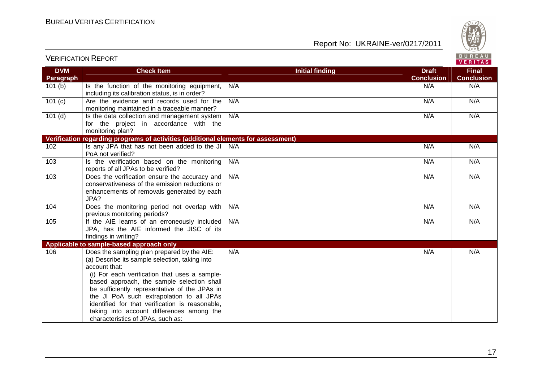VERIFICATION REPORT



| <b>DVM</b>       | <b>Check Item</b>                                                                                                                                                                                                                                                                                                                                                                                                                                | <b>Initial finding</b> | <b>Draft</b>      | <b>Final</b>      |
|------------------|--------------------------------------------------------------------------------------------------------------------------------------------------------------------------------------------------------------------------------------------------------------------------------------------------------------------------------------------------------------------------------------------------------------------------------------------------|------------------------|-------------------|-------------------|
| <b>Paragraph</b> |                                                                                                                                                                                                                                                                                                                                                                                                                                                  |                        | <b>Conclusion</b> | <b>Conclusion</b> |
| 101(b)           | Is the function of the monitoring equipment,<br>including its calibration status, is in order?                                                                                                                                                                                                                                                                                                                                                   | N/A                    | N/A               | N/A               |
| 101(c)           | Are the evidence and records used for the<br>monitoring maintained in a traceable manner?                                                                                                                                                                                                                                                                                                                                                        | N/A                    | N/A               | N/A               |
| $101$ (d)        | Is the data collection and management system<br>for the project in accordance with the<br>monitoring plan?                                                                                                                                                                                                                                                                                                                                       | N/A                    | N/A               | N/A               |
|                  | Verification regarding programs of activities (additional elements for assessment)                                                                                                                                                                                                                                                                                                                                                               |                        |                   |                   |
| 102              | Is any JPA that has not been added to the JI<br>PoA not verified?                                                                                                                                                                                                                                                                                                                                                                                | N/A                    | N/A               | N/A               |
| 103              | Is the verification based on the monitoring<br>reports of all JPAs to be verified?                                                                                                                                                                                                                                                                                                                                                               | N/A                    | N/A               | N/A               |
| 103              | Does the verification ensure the accuracy and<br>conservativeness of the emission reductions or<br>enhancements of removals generated by each<br>JPA?                                                                                                                                                                                                                                                                                            | N/A                    | N/A               | N/A               |
| 104              | Does the monitoring period not overlap with<br>previous monitoring periods?                                                                                                                                                                                                                                                                                                                                                                      | N/A                    | N/A               | N/A               |
| 105              | If the AIE learns of an erroneously included<br>JPA, has the AIE informed the JISC of its<br>findings in writing?                                                                                                                                                                                                                                                                                                                                | N/A                    | N/A               | N/A               |
|                  | Applicable to sample-based approach only                                                                                                                                                                                                                                                                                                                                                                                                         |                        |                   |                   |
| 106              | Does the sampling plan prepared by the AIE:<br>(a) Describe its sample selection, taking into<br>account that:<br>(i) For each verification that uses a sample-<br>based approach, the sample selection shall<br>be sufficiently representative of the JPAs in<br>the JI PoA such extrapolation to all JPAs<br>identified for that verification is reasonable,<br>taking into account differences among the<br>characteristics of JPAs, such as: | N/A                    | N/A               | N/A               |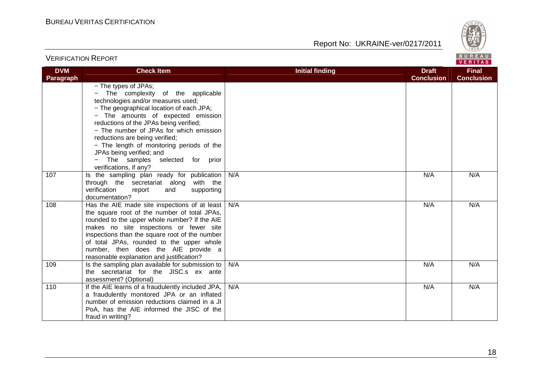VERIFICATION REPORT

Report No: UKRAINE-ver/0217/2011



#### **VERITAS DVM Check Item Draft Check Item Initial finding Check Item Draft Final Paragraph Conclusion Conclusion** − The types of JPAs; − The complexity of the applicable technologies and/or measures used; − The geographical location of each JPA; − The amounts of expected emission reductions of the JPAs being verified; − The number of JPAs for which emission reductions are being verified; − The length of monitoring periods of the JPAs being verified; and − The samples selected for prior verifications, if any? 107 | Is the sampling plan ready for publication N/A N/A N/A through the secretariat along with the verification report and supporting documentation? 108 | Has the AIE made site inspections of at least N/A N/A N/A the square root of the number of total JPAs, rounded to the upper whole number? If the AIE makes no site inspections or fewer site inspections than the square root of the number of total JPAs, rounded to the upper whole number, then does the AIE provide a reasonable explanation and justification? 109 | Is the sampling plan available for submission to N/A N/A N/A the secretariat for the JISC.s ex ante assessment? (Optional) 110 | If the AIE learns of a fraudulently included JPA, N/A N/A N/A a fraudulently monitored JPA or an inflated number of emission reductions claimed in a JI PoA, has the AIE informed the JISC of the fraud in writing?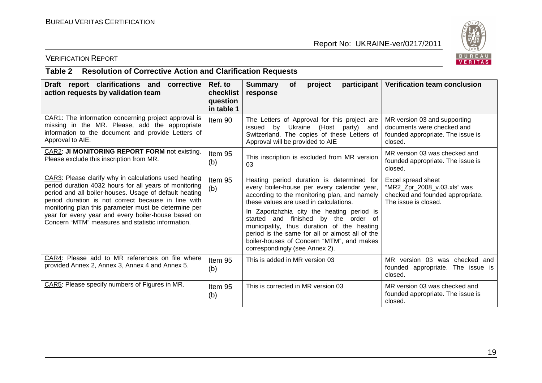

## VERIFICATION REPORT

#### **Table 2 Resolution of Corrective Action and Clarification Requests**

| Draft report clarifications and<br>corrective<br>action requests by validation team                                                                                                                                                                                                                                                                                                                  | Ref. to<br>checklist<br>question<br>in table 1 | <b>Summary</b><br>participant<br>project<br><b>of</b><br>response                                                                                                                                                                                                                                                                                                                                                                                        | Verification team conclusion                                                                                  |
|------------------------------------------------------------------------------------------------------------------------------------------------------------------------------------------------------------------------------------------------------------------------------------------------------------------------------------------------------------------------------------------------------|------------------------------------------------|----------------------------------------------------------------------------------------------------------------------------------------------------------------------------------------------------------------------------------------------------------------------------------------------------------------------------------------------------------------------------------------------------------------------------------------------------------|---------------------------------------------------------------------------------------------------------------|
| CAR1: The information concerning project approval is<br>missing in the MR. Please, add the appropriate<br>information to the document and provide Letters of<br>Approval to AIE.                                                                                                                                                                                                                     | Item 90                                        | The Letters of Approval for this project are<br>issued by Ukraine (Host party) and<br>Switzerland. The copies of these Letters of<br>Approval will be provided to AIE                                                                                                                                                                                                                                                                                    | MR version 03 and supporting<br>documents were checked and<br>founded appropriate. The issue is<br>closed.    |
| CAR2: JI MONITORING REPORT FORM not existing.<br>Please exclude this inscription from MR.                                                                                                                                                                                                                                                                                                            | Item 95<br>(b)                                 | This inscription is excluded from MR version<br>03                                                                                                                                                                                                                                                                                                                                                                                                       | MR version 03 was checked and<br>founded appropriate. The issue is<br>closed.                                 |
| CAR3: Please clarify why in calculations used heating<br>period duration 4032 hours for all years of monitoring<br>period and all boiler-houses. Usage of default heating<br>period duration is not correct because in line with<br>monitoring plan this parameter must be determine per<br>year for every year and every boiler-house based on<br>Concern "MTM" measures and statistic information. | Item 95<br>(b)                                 | Heating period duration is determined for<br>every boiler-house per every calendar year,<br>according to the monitoring plan, and namely<br>these values are used in calculations.<br>In Zaporizhzhia city the heating period is<br>started and finished by the order of<br>municipality, thus duration of the heating<br>period is the same for all or almost all of the<br>boiler-houses of Concern "MTM", and makes<br>correspondingly (see Annex 2). | Excel spread sheet<br>"MR2_Zpr_2008_v.03.xls" was<br>checked and founded appropriate.<br>The issue is closed. |
| CAR4: Please add to MR references on file where<br>provided Annex 2, Annex 3, Annex 4 and Annex 5.                                                                                                                                                                                                                                                                                                   | Item 95<br>(b)                                 | This is added in MR version 03                                                                                                                                                                                                                                                                                                                                                                                                                           | MR version 03 was checked and<br>founded appropriate. The issue is<br>closed.                                 |
| CAR5: Please specify numbers of Figures in MR.                                                                                                                                                                                                                                                                                                                                                       | Item 95<br>(b)                                 | This is corrected in MR version 03                                                                                                                                                                                                                                                                                                                                                                                                                       | MR version 03 was checked and<br>founded appropriate. The issue is<br>closed.                                 |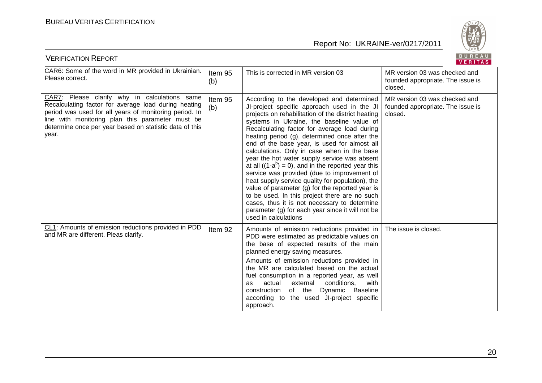

| BUREAU<br><b>VERIFICATION REPORT</b><br>VERITAS                                                                                                                                                                                                                                         |                |                                                                                                                                                                                                                                                                                                                                                                                                                                                                                                                                                                                                                                                                                                                                                                                                                                          |                                                                               |  |
|-----------------------------------------------------------------------------------------------------------------------------------------------------------------------------------------------------------------------------------------------------------------------------------------|----------------|------------------------------------------------------------------------------------------------------------------------------------------------------------------------------------------------------------------------------------------------------------------------------------------------------------------------------------------------------------------------------------------------------------------------------------------------------------------------------------------------------------------------------------------------------------------------------------------------------------------------------------------------------------------------------------------------------------------------------------------------------------------------------------------------------------------------------------------|-------------------------------------------------------------------------------|--|
| CAR6: Some of the word in MR provided in Ukrainian.<br>Please correct.                                                                                                                                                                                                                  | Item 95<br>(b) | This is corrected in MR version 03                                                                                                                                                                                                                                                                                                                                                                                                                                                                                                                                                                                                                                                                                                                                                                                                       | MR version 03 was checked and<br>founded appropriate. The issue is<br>closed. |  |
| CAR7: Please clarify why in calculations same<br>Recalculating factor for average load during heating<br>period was used for all years of monitoring period. In<br>line with monitoring plan this parameter must be<br>determine once per year based on statistic data of this<br>year. | Item 95<br>(b) | According to the developed and determined<br>JI-project specific approach used in the JI<br>projects on rehabilitation of the district heating<br>systems in Ukraine, the baseline value of<br>Recalculating factor for average load during<br>heating period (g), determined once after the<br>end of the base year, is used for almost all<br>calculations. Only in case when in the base<br>year the hot water supply service was absent<br>at all $((1-a^b) = 0)$ , and in the reported year this<br>service was provided (due to improvement of<br>heat supply service quality for population), the<br>value of parameter (g) for the reported year is<br>to be used. In this project there are no such<br>cases, thus it is not necessary to determine<br>parameter (g) for each year since it will not be<br>used in calculations | MR version 03 was checked and<br>founded appropriate. The issue is<br>closed. |  |
| CL1: Amounts of emission reductions provided in PDD<br>and MR are different. Pleas clarify.                                                                                                                                                                                             | Item 92        | Amounts of emission reductions provided in<br>PDD were estimated as predictable values on<br>the base of expected results of the main<br>planned energy saving measures.<br>Amounts of emission reductions provided in<br>the MR are calculated based on the actual<br>fuel consumption in a reported year, as well<br>actual<br>external<br>conditions.<br>with<br>as<br>of the<br>construction<br>Dynamic<br><b>Baseline</b><br>according to the used JI-project specific<br>approach.                                                                                                                                                                                                                                                                                                                                                 | The issue is closed.                                                          |  |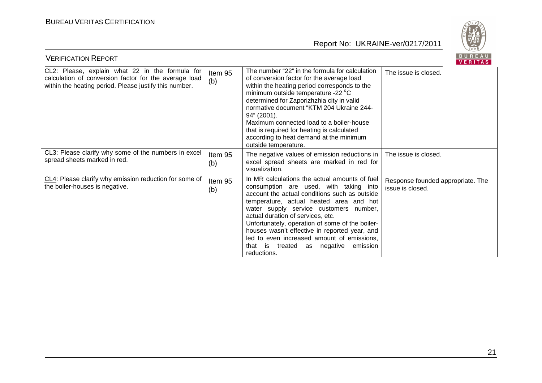

| BUREAU<br><b>VERIFICATION REPORT</b><br><b>VERITAS</b>                                                                                                             |                |                                                                                                                                                                                                                                                                                                                                                                                                                                                                                   |                                                       |  |
|--------------------------------------------------------------------------------------------------------------------------------------------------------------------|----------------|-----------------------------------------------------------------------------------------------------------------------------------------------------------------------------------------------------------------------------------------------------------------------------------------------------------------------------------------------------------------------------------------------------------------------------------------------------------------------------------|-------------------------------------------------------|--|
| CL2: Please, explain what 22 in the formula for<br>calculation of conversion factor for the average load<br>within the heating period. Please justify this number. | Item 95<br>(b) | The number "22" in the formula for calculation<br>of conversion factor for the average load<br>within the heating period corresponds to the<br>minimum outside temperature -22 °C<br>determined for Zaporizhzhia city in valid<br>normative document "KTM 204 Ukraine 244-<br>94" (2001).<br>Maximum connected load to a boiler-house<br>that is required for heating is calculated<br>according to heat demand at the minimum<br>outside temperature.                            | The issue is closed.                                  |  |
| CL3: Please clarify why some of the numbers in excel<br>spread sheets marked in red.                                                                               | Item 95<br>(b) | The negative values of emission reductions in  <br>excel spread sheets are marked in red for<br>visualization.                                                                                                                                                                                                                                                                                                                                                                    | The issue is closed.                                  |  |
| CL4: Please clarify why emission reduction for some of<br>the boiler-houses is negative.                                                                           | Item 95<br>(b) | In MR calculations the actual amounts of fuel<br>consumption are used, with taking into<br>account the actual conditions such as outside<br>temperature, actual heated area and hot<br>water supply service customers number,<br>actual duration of services, etc.<br>Unfortunately, operation of some of the boiler-<br>houses wasn't effective in reported year, and<br>led to even increased amount of emissions,<br>that is treated as<br>negative<br>emission<br>reductions. | Response founded appropriate. The<br>issue is closed. |  |